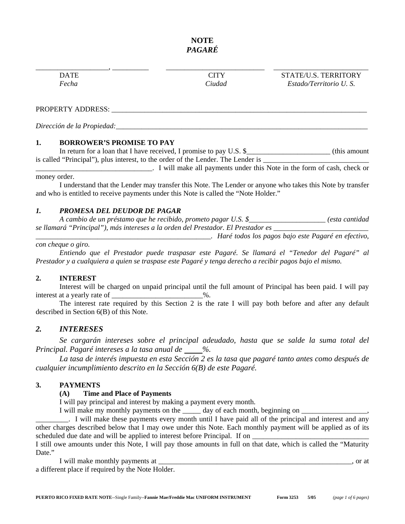# **NOTE**  *PAGARÉ*

\_\_\_\_\_\_\_\_\_\_\_\_\_\_\_\_\_\_\_\_, \_\_\_\_\_\_\_\_\_\_ \_\_\_\_\_\_\_\_\_\_\_\_\_\_\_\_\_\_\_\_\_\_\_\_\_\_\_ \_\_\_\_\_\_\_\_\_\_\_\_\_\_\_\_\_\_\_\_\_\_\_\_\_\_ DATE CITY STATE/U.S. TERRITORY *Fecha Ciudad Estado/Territorio U. S.* 

#### PROPERTY ADDRESS: \_\_\_\_\_\_\_\_\_\_\_\_\_\_\_\_\_\_\_\_\_\_\_\_\_\_\_\_\_\_\_\_\_\_\_\_\_\_\_\_\_\_\_\_\_\_\_\_\_\_\_\_\_\_\_\_\_\_\_\_\_\_\_\_\_\_\_\_\_\_

*Dirección de la Propiedad:*\_\_\_\_\_\_\_\_\_\_\_\_\_\_\_\_\_\_\_\_\_\_\_\_\_\_\_\_\_\_\_\_\_\_\_\_\_\_\_\_\_\_\_\_\_\_\_\_\_\_\_\_\_\_\_\_\_\_\_\_\_\_\_\_\_\_\_\_\_

### **1. BORROWER'S PROMISE TO PAY**

In return for a loan that I have received, I promise to pay U.S. \$\_\_\_\_\_\_\_\_\_\_\_\_\_\_\_\_\_\_\_\_\_\_\_\_\_\_\_\_\_\_\_\_ (this amount is called "Principal"), plus interest, to the order of the Lender. The Lender is \_\_\_\_\_\_\_\_\_\_\_\_\_\_\_\_\_\_\_\_\_\_\_\_\_\_\_\_\_

\_\_\_\_\_\_\_\_\_\_\_\_\_\_\_\_\_\_\_\_\_\_\_\_\_\_\_\_\_\_\_\_. I will make all payments under this Note in the form of cash, check or money order.

I understand that the Lender may transfer this Note. The Lender or anyone who takes this Note by transfer and who is entitled to receive payments under this Note is called the "Note Holder."

## *1. PROMESA DEL DEUDOR DE PAGAR*

*A cambio de un préstamo que he recibido, prometo pagar U.S. \$*\_\_\_\_\_\_\_\_\_\_\_\_\_\_\_\_\_\_\_\_\_ *(esta cantidad se llamará "Principal"), más intereses a la orden del Prestador. El Prestador es \_\_\_\_\_\_\_\_\_\_\_\_\_\_\_\_\_\_\_\_\_\_\_\_\_\_* 

\_\_\_\_\_\_\_\_\_\_\_\_\_\_\_\_\_\_\_\_\_\_\_\_\_\_\_\_\_\_\_\_\_\_\_\_\_\_\_\_\_\_\_\_\_\_\_\_*. Haré todos los pagos bajo este Pagaré en efectivo,* 

## *con cheque o giro.*

*Entiendo que el Prestador puede traspasar este Pagaré. Se llamará el "Tenedor del Pagaré" al Prestador y a cualquiera a quien se traspase este Pagaré y tenga derecho a recibir pagos bajo el mismo.* 

#### **2. INTEREST**

Interest will be charged on unpaid principal until the full amount of Principal has been paid. I will pay interest at a yearly rate of \_\_\_\_\_\_\_\_\_\_\_\_\_\_\_\_\_\_\_\_\_\_\_\_\_\_\_\_\_\_%.

The interest rate required by this Section 2 is the rate I will pay both before and after any default described in Section 6(B) of this Note.

## *2. INTERESES*

*Se cargarán intereses sobre el principal adeudado, hasta que se salde la suma total del Principal. Pagaré intereses a la tasa anual de %.* 

*La tasa de interés impuesta en esta Sección 2 es la tasa que pagaré tanto antes como después de cualquier incumplimiento descrito en la Sección 6(B) de este Pagaré.* 

#### **3. PAYMENTS**

#### **(A) Time and Place of Payments**

I will pay principal and interest by making a payment every month.

I will make my monthly payments on the  $\_\_\_\_$  day of each month, beginning on  $\_\_\_\_\_\_\_\_\_$ 

. I will make these payments every month until I have paid all of the principal and interest and any other charges described below that I may owe under this Note. Each monthly payment will be applied as of its scheduled due date and will be applied to interest before Principal. If on

I still owe amounts under this Note, I will pay those amounts in full on that date, which is called the "Maturity Date."

I will make monthly payments at \_\_\_\_\_\_\_\_\_\_\_\_\_\_\_\_\_\_\_\_\_\_\_\_\_\_\_\_\_\_\_\_\_\_\_\_\_\_\_\_\_\_\_\_\_\_\_\_\_\_\_\_\_, or at a different place if required by the Note Holder.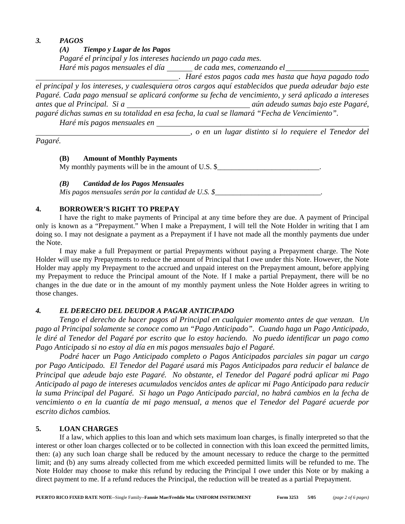## *3. PAGOS*

*(A) Tiempo y Lugar de los Pagos* 

*Pagaré el principal y los intereses haciendo un pago cada mes.* 

Haré mis pagos mensuales el día \_\_\_\_\_\_ de cada mes, comenzando el \_\_\_\_\_\_\_\_\_\_\_\_\_\_\_

. *Haré estos pagos cada mes hasta que haya pagado todo* 

*el principal y los intereses, y cualesquiera otros cargos aquí establecidos que pueda adeudar bajo este Pagaré. Cada pago mensual se aplicará conforme su fecha de vencimiento, y será aplicado a intereses antes que al Principal. Si a aún adeudo sumas bajo este Pagaré, pagaré dichas sumas en su totalidad en esa fecha, la cual se llamará "Fecha de Vencimiento".* 

*Haré mis pagos mensuales en*

, *o en un lugar distinto si lo requiere el Tenedor del* 

*Pagaré.*

## **(B) Amount of Monthly Payments**

My monthly payments will be in the amount of U.S.  $\frac{8}{2}$  \_\_\_\_\_\_\_\_\_\_\_\_\_\_\_\_\_\_\_\_\_\_\_\_\_\_\_\_\_\_\_\_\_.

# *(B) Cantidad de los Pagos Mensuales*

*Mis pagos mensuales serán por la cantidad de U.S. \$*\_\_\_\_\_\_\_\_\_\_\_\_\_\_\_\_\_\_\_\_\_\_\_\_\_\_\_\_\_*.* 

# **4. BORROWER'S RIGHT TO PREPAY**

I have the right to make payments of Principal at any time before they are due. A payment of Principal only is known as a "Prepayment." When I make a Prepayment, I will tell the Note Holder in writing that I am doing so. I may not designate a payment as a Prepayment if I have not made all the monthly payments due under the Note.

I may make a full Prepayment or partial Prepayments without paying a Prepayment charge. The Note Holder will use my Prepayments to reduce the amount of Principal that I owe under this Note. However, the Note Holder may apply my Prepayment to the accrued and unpaid interest on the Prepayment amount, before applying my Prepayment to reduce the Principal amount of the Note. If I make a partial Prepayment, there will be no changes in the due date or in the amount of my monthly payment unless the Note Holder agrees in writing to those changes.

# *4. EL DERECHO DEL DEUDOR A PAGAR ANTICIPADO*

*Tengo el derecho de hacer pagos al Principal en cualquier momento antes de que venzan. Un pago al Principal solamente se conoce como un "Pago Anticipado". Cuando haga un Pago Anticipado, le diré al Tenedor del Pagaré por escrito que lo estoy haciendo. No puedo identificar un pago como Pago Anticipado si no estoy al día en mis pagos mensuales bajo el Pagaré.* 

*Podré hacer un Pago Anticipado completo o Pagos Anticipados parciales sin pagar un cargo por Pago Anticipado. El Tenedor del Pagaré usará mis Pagos Anticipados para reducir el balance de Principal que adeude bajo este Pagaré. No obstante, el Tenedor del Pagaré podrá aplicar mi Pago Anticipado al pago de intereses acumulados vencidos antes de aplicar mi Pago Anticipado para reducir la suma Principal del Pagaré. Si hago un Pago Anticipado parcial, no habrá cambios en la fecha de vencimiento o en la cuantía de mi pago mensual, a menos que el Tenedor del Pagaré acuerde por escrito dichos cambios.*

# **5. LOAN CHARGES**

If a law, which applies to this loan and which sets maximum loan charges, is finally interpreted so that the interest or other loan charges collected or to be collected in connection with this loan exceed the permitted limits, then: (a) any such loan charge shall be reduced by the amount necessary to reduce the charge to the permitted limit; and (b) any sums already collected from me which exceeded permitted limits will be refunded to me. The Note Holder may choose to make this refund by reducing the Principal I owe under this Note or by making a direct payment to me. If a refund reduces the Principal, the reduction will be treated as a partial Prepayment.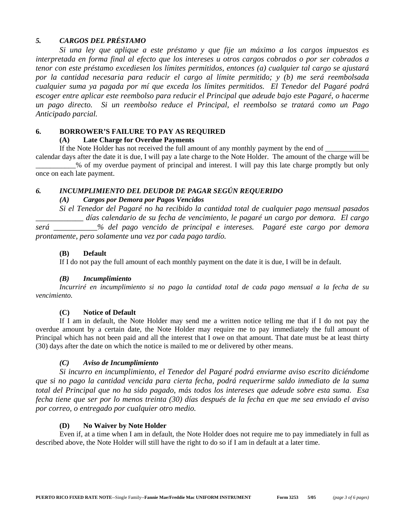## *5. CARGOS DEL PRÉSTAMO*

*Si una ley que aplique a este préstamo y que fije un máximo a los cargos impuestos es interpretada en forma final al efecto que los intereses u otros cargos cobrados o por ser cobrados a tenor con este préstamo excediesen los límites permitidos, entonces (a) cualquier tal cargo se ajustará por la cantidad necesaria para reducir el cargo al límite permitido; y (b) me será reembolsada cualquier suma ya pagada por mí que exceda los límites permitidos. El Tenedor del Pagaré podrá escoger entre aplicar este reembolso para reducir el Principal que adeude bajo este Pagaré, o hacerme un pago directo. Si un reembolso reduce el Principal, el reembolso se tratará como un Pago Anticipado parcial.* 

#### **6. BORROWER'S FAILURE TO PAY AS REQUIRED**

### **(A) Late Charge for Overdue Payments**

If the Note Holder has not received the full amount of any monthly payment by the end of

calendar days after the date it is due, I will pay a late charge to the Note Holder. The amount of the charge will be \_\_\_\_\_\_\_\_\_\_\_% of my overdue payment of principal and interest. I will pay this late charge promptly but only once on each late payment.

### *6. INCUMPLIMIENTO DEL DEUDOR DE PAGAR SEGÚN REQUERIDO*

### *(A) Cargos por Demora por Pagos Vencidos*

*Si el Tenedor del Pagaré no ha recibido la cantidad total de cualquier pago mensual pasados*

\_\_\_\_\_\_\_\_\_\_\_\_ *días calendario de su fecha de vencimiento, le pagaré un cargo por demora. El cargo será* \_\_\_\_\_\_\_\_\_\_\_*% del pago vencido de principal e intereses. Pagaré este cargo por demora prontamente, pero solamente una vez por cada pago tardío.* 

#### **(B) Default**

If I do not pay the full amount of each monthly payment on the date it is due, I will be in default.

#### *(B) Incumplimiento*

*Incurriré en incumplimiento si no pago la cantidad total de cada pago mensual a la fecha de su vencimiento.* 

#### **(C) Notice of Default**

If I am in default, the Note Holder may send me a written notice telling me that if I do not pay the overdue amount by a certain date, the Note Holder may require me to pay immediately the full amount of Principal which has not been paid and all the interest that I owe on that amount. That date must be at least thirty (30) days after the date on which the notice is mailed to me or delivered by other means.

#### *(C) Aviso de Incumplimiento*

*Si incurro en incumplimiento, el Tenedor del Pagaré podrá enviarme aviso escrito diciéndome que si no pago la cantidad vencida para cierta fecha, podrá requerirme saldo inmediato de la suma total del Principal que no ha sido pagado, más todos los intereses que adeude sobre esta suma. Esa fecha tiene que ser por lo menos treinta (30) días después de la fecha en que me sea enviado el aviso por correo, o entregado por cualquier otro medio.* 

#### **(D) No Waiver by Note Holder**

Even if, at a time when I am in default, the Note Holder does not require me to pay immediately in full as described above, the Note Holder will still have the right to do so if I am in default at a later time.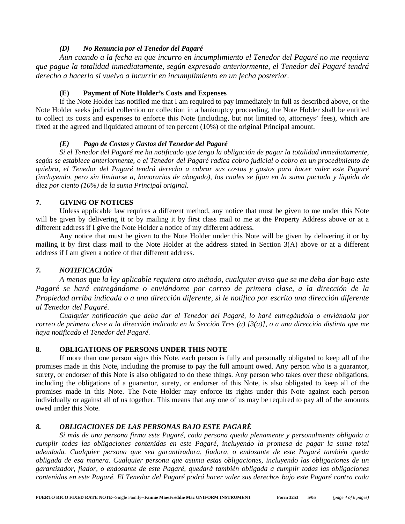#### *(D) No Renuncia por el Tenedor del Pagaré*

*Aun cuando a la fecha en que incurro en incumplimiento el Tenedor del Pagaré no me requiera que pague la totalidad inmediatamente, según expresado anteriormente, el Tenedor del Pagaré tendrá derecho a hacerlo si vuelvo a incurrir en incumplimiento en un fecha posterior.* 

### **(E) Payment of Note Holder's Costs and Expenses**

If the Note Holder has notified me that I am required to pay immediately in full as described above, or the Note Holder seeks judicial collection or collection in a bankruptcy proceeding, the Note Holder shall be entitled to collect its costs and expenses to enforce this Note (including, but not limited to, attorneys' fees), which are fixed at the agreed and liquidated amount of ten percent (10%) of the original Principal amount.

### *(E) Pago de Costas y Gastos del Tenedor del Pagaré*

*Si el Tenedor del Pagaré me ha notificado que tengo la obligación de pagar la totalidad inmediatamente, según se establece anteriormente, o el Tenedor del Pagaré radica cobro judicial o cobro en un procedimiento de quiebra, el Tenedor del Pagaré tendrá derecho a cobrar sus costas y gastos para hacer valer este Pagaré (incluyendo, pero sin limitarse a, honorarios de abogado), los cuales se fijan en la suma pactada y líquida de diez por ciento (10%) de la suma Principal original.* 

## **7. GIVING OF NOTICES**

Unless applicable law requires a different method, any notice that must be given to me under this Note will be given by delivering it or by mailing it by first class mail to me at the Property Address above or at a different address if I give the Note Holder a notice of my different address.

Any notice that must be given to the Note Holder under this Note will be given by delivering it or by mailing it by first class mail to the Note Holder at the address stated in Section 3(A) above or at a different address if I am given a notice of that different address.

## *7. NOTIFICACIÓN*

*A menos* que *la ley aplicable requiera otro método, cualquier aviso que se me deba dar bajo este*  Pagaré se hará entregándome o enviándome por correo de primera clase, a la dirección de la *Propiedad arriba indicada o a una dirección diferente, si le notifico por escrito una dirección diferente al Tenedor del Pagaré.*

*Cualquier notificación que deba dar al Tenedor del Pagaré, lo haré entregándola o enviándola por correo de primera clase a la dirección indicada en la Sección Tres (a) [3(a)], o a una dirección distinta que me haya notificado el Tenedor del Pagaré.* 

## **8. OBLIGATIONS OF PERSONS UNDER THIS NOTE**

If more than one person signs this Note, each person is fully and personally obligated to keep all of the promises made in this Note, including the promise to pay the full amount owed. Any person who is a guarantor, surety, or endorser of this Note is also obligated to do these things. Any person who takes over these obligations, including the obligations of a guarantor, surety, or endorser of this Note, is also obligated to keep all of the promises made in this Note. The Note Holder may enforce its rights under this Note against each person individually or against all of us together. This means that any one of us may be required to pay all of the amounts owed under this Note.

## *8. OBLIGACIONES DE LAS PERSONAS BAJO ESTE PAGARÉ*

*Si más de una persona firma este Pagaré, cada persona queda plenamente y personalmente obligada a cumplir todas las obligaciones contenidas en este Pagaré, incluyendo la promesa de pagar la suma total adeudada. Cualquier persona que sea garantizadora, fiadora, o endosante de este Pagaré también queda obligada de esa manera. Cualquier persona que asuma estas obligaciones, incluyendo las obligaciones de un garantizador, fiador, o endosante de este Pagaré, quedará también obligada a cumplir todas las obligaciones contenidas en este Pagaré. El Tenedor del Pagaré podrá hacer valer sus derechos bajo este Pagaré contra cada*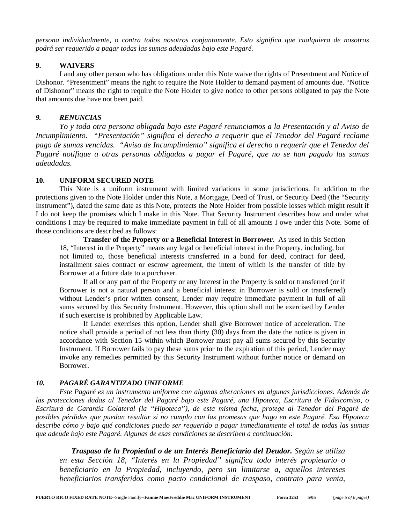*persona individualmente, o contra todos nosotros conjuntamente. Esto significa que cualquiera de nosotros podrá ser requerido a pagar todas las sumas adeudadas bajo este Pagaré.* 

#### **9. WAIVERS**

I and any other person who has obligations under this Note waive the rights of Presentment and Notice of Dishonor. "Presentment" means the right to require the Note Holder to demand payment of amounts due. "Notice of Dishonor" means the right to require the Note Holder to give notice to other persons obligated to pay the Note that amounts due have not been paid.

### *9. RENUNCIAS*

*Yo y toda otra persona obligada bajo este Pagaré renunciamos a la Presentación y al Aviso de Incumplimiento. "Presentación" significa el derecho a requerir que el Tenedor del Pagaré reclame pago de sumas vencidas. "Aviso de Incumplimiento" significa el derecho a requerir que el Tenedor del Pagaré notifique a otras personas obligadas a pagar el Pagaré, que no se han pagado las sumas adeudadas.*

### **10. UNIFORM SECURED NOTE**

This Note is a uniform instrument with limited variations in some jurisdictions. In addition to the protections given to the Note Holder under this Note, a Mortgage, Deed of Trust, or Security Deed (the "Security Instrument"), dated the same date as this Note, protects the Note Holder from possible losses which might result if I do not keep the promises which I make in this Note. That Security Instrument describes how and under what conditions I may be required to make immediate payment in full of all amounts I owe under this Note. Some of those conditions are described as follows:

**Transfer of the Property or a Beneficial Interest in Borrower.** As used in this Section 18, "Interest in the Property" means any legal or beneficial interest in the Property, including, but not limited to, those beneficial interests transferred in a bond for deed, contract for deed, installment sales contract or escrow agreement, the intent of which is the transfer of title by Borrower at a future date to a purchaser.

If all or any part of the Property or any Interest in the Property is sold or transferred (or if Borrower is not a natural person and a beneficial interest in Borrower is sold or transferred) without Lender's prior written consent, Lender may require immediate payment in full of all sums secured by this Security Instrument. However, this option shall not be exercised by Lender if such exercise is prohibited by Applicable Law.

If Lender exercises this option, Lender shall give Borrower notice of acceleration. The notice shall provide a period of not less than thirty (30) days from the date the notice is given in accordance with Section 15 within which Borrower must pay all sums secured by this Security Instrument. If Borrower fails to pay these sums prior to the expiration of this period, Lender may invoke any remedies permitted by this Security Instrument without further notice or demand on Borrower.

## *10. PAGARÉ GARANTIZADO UNIFORME*

*Este Pagaré es un instrumento uniforme con algunas alteraciones en algunas jurisdicciones. Además de las protecciones dadas al Tenedor del Pagaré bajo este Pagaré, una Hipoteca, Escritura de Fideicomiso, o Escritura de Garantía Colateral (la "Hipoteca"), de esta misma fecha, protege al Tenedor del Pagaré de posibles pérdidas que puedan resultar si no cumplo con las promesas que hago en este Pagaré. Esa Hipoteca describe cómo y bajo qué condiciones puedo ser requerido a pagar inmediatamente el total de todas las sumas que adeude bajo este Pagaré. Algunas de esas condiciones se describen a continuación:* 

*Traspaso de la Propiedad o de un Interés Beneficiario del Deudor. Según se utiliza en esta Sección 18, "Interés en la Propiedad" significa todo interés propietario o beneficiario en la Propiedad, incluyendo, pero sin limitarse a, aquellos intereses beneficiarios transferidos como pacto condicional de traspaso, contrato para venta,*